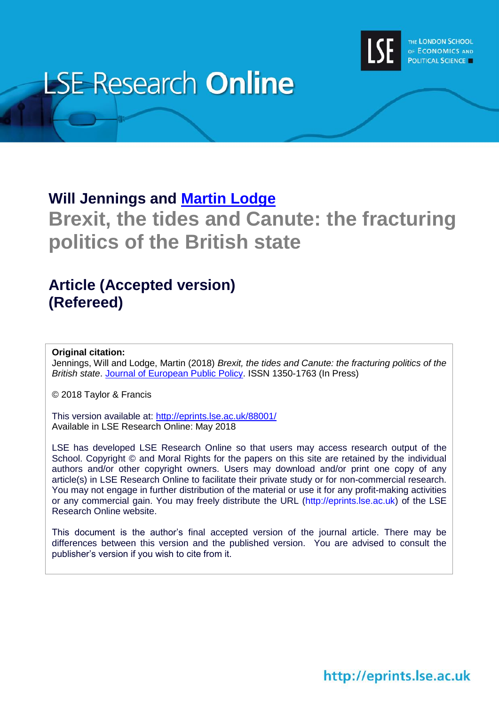

# **LSE Research Online**

### **Will Jennings and [Martin](http://www.lse.ac.uk/researchAndExpertise/Experts/profile.aspx?KeyValue=m.lodge@lse.ac.uk) Lodge**

# **Brexit, the tides and Canute: the fracturing politics of the British state**

## **Article (Accepted version) (Refereed)**

#### **Original citation:**

Jennings, Will and Lodge, Martin (2018) *Brexit, the tides and Canute: the fracturing politics of the British state*. [Journal of European Public Policy.](https://www.tandfonline.com/toc/rjpp20/current) ISSN 1350-1763 (In Press)

© 2018 Taylor & Francis

This version available at:<http://eprints.lse.ac.uk/88001/> Available in LSE Research Online: May 2018

LSE has developed LSE Research Online so that users may access research output of the School. Copyright © and Moral Rights for the papers on this site are retained by the individual authors and/or other copyright owners. Users may download and/or print one copy of any article(s) in LSE Research Online to facilitate their private study or for non-commercial research. You may not engage in further distribution of the material or use it for any profit-making activities or any commercial gain. You may freely distribute the URL (http://eprints.lse.ac.uk) of the LSE Research Online website.

This document is the author's final accepted version of the journal article. There may be differences between this version and the published version. You are advised to consult the publisher's version if you wish to cite from it.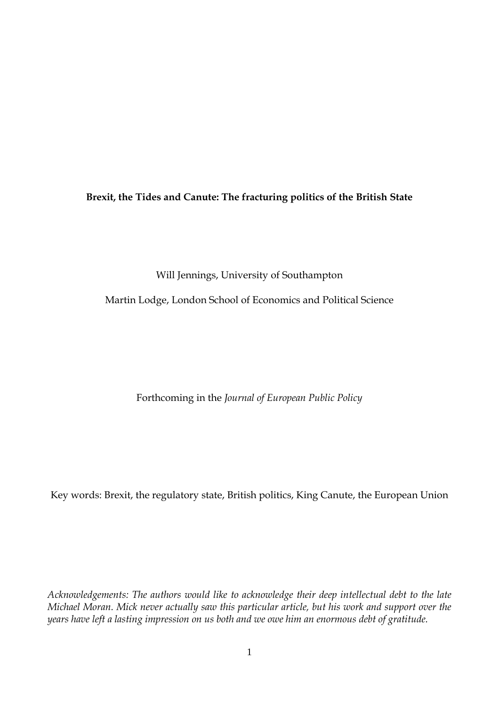#### **Brexit, the Tides and Canute: The fracturing politics of the British State**

Will Jennings, University of Southampton

Martin Lodge, London School of Economics and Political Science

Forthcoming in the *Journal of European Public Policy*

Key words: Brexit, the regulatory state, British politics, King Canute, the European Union

*Acknowledgements: The authors would like to acknowledge their deep intellectual debt to the late Michael Moran. Mick never actually saw this particular article, but his work and support over the years have left a lasting impression on us both and we owe him an enormous debt of gratitude.*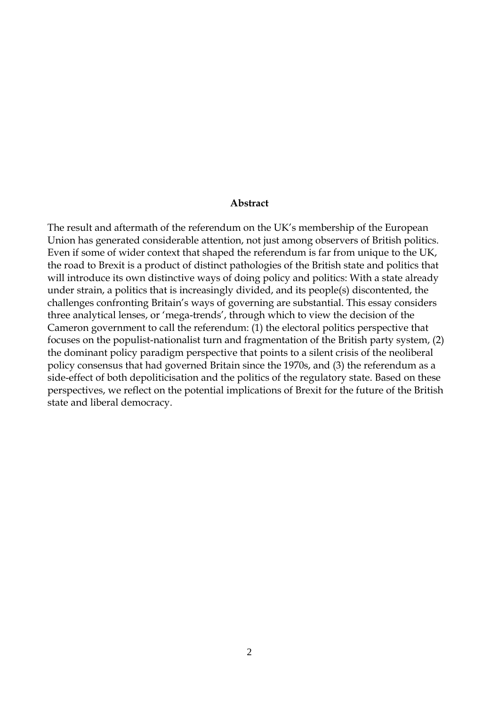#### **Abstract**

The result and aftermath of the referendum on the UK's membership of the European Union has generated considerable attention, not just among observers of British politics. Even if some of wider context that shaped the referendum is far from unique to the UK, the road to Brexit is a product of distinct pathologies of the British state and politics that will introduce its own distinctive ways of doing policy and politics: With a state already under strain, a politics that is increasingly divided, and its people(s) discontented, the challenges confronting Britain's ways of governing are substantial. This essay considers three analytical lenses, or 'mega-trends', through which to view the decision of the Cameron government to call the referendum: (1) the electoral politics perspective that focuses on the populist-nationalist turn and fragmentation of the British party system, (2) the dominant policy paradigm perspective that points to a silent crisis of the neoliberal policy consensus that had governed Britain since the 1970s, and (3) the referendum as a side-effect of both depoliticisation and the politics of the regulatory state. Based on these perspectives, we reflect on the potential implications of Brexit for the future of the British state and liberal democracy.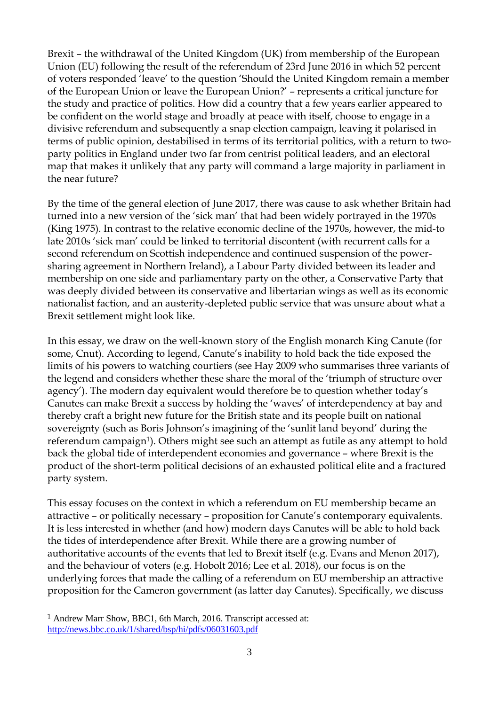Brexit – the withdrawal of the United Kingdom (UK) from membership of the European Union (EU) following the result of the referendum of 23rd June 2016 in which 52 percent of voters responded 'leave' to the question 'Should the United Kingdom remain a member of the European Union or leave the European Union?' – represents a critical juncture for the study and practice of politics. How did a country that a few years earlier appeared to be confident on the world stage and broadly at peace with itself, choose to engage in a divisive referendum and subsequently a snap election campaign, leaving it polarised in terms of public opinion, destabilised in terms of its territorial politics, with a return to twoparty politics in England under two far from centrist political leaders, and an electoral map that makes it unlikely that any party will command a large majority in parliament in the near future?

By the time of the general election of June 2017, there was cause to ask whether Britain had turned into a new version of the 'sick man' that had been widely portrayed in the 1970s (King 1975). In contrast to the relative economic decline of the 1970s, however, the mid-to late 2010s 'sick man' could be linked to territorial discontent (with recurrent calls for a second referendum on Scottish independence and continued suspension of the powersharing agreement in Northern Ireland), a Labour Party divided between its leader and membership on one side and parliamentary party on the other, a Conservative Party that was deeply divided between its conservative and libertarian wings as well as its economic nationalist faction, and an austerity-depleted public service that was unsure about what a Brexit settlement might look like.

In this essay, we draw on the well-known story of the English monarch King Canute (for some, Cnut). According to legend, Canute's inability to hold back the tide exposed the limits of his powers to watching courtiers (see Hay 2009 who summarises three variants of the legend and considers whether these share the moral of the 'triumph of structure over agency'). The modern day equivalent would therefore be to question whether today's Canutes can make Brexit a success by holding the 'waves' of interdependency at bay and thereby craft a bright new future for the British state and its people built on national sovereignty (such as Boris Johnson's imagining of the 'sunlit land beyond' during the referendum campaign<sup>1</sup>). Others might see such an attempt as futile as any attempt to hold back the global tide of interdependent economies and governance – where Brexit is the product of the short-term political decisions of an exhausted political elite and a fractured party system.

This essay focuses on the context in which a referendum on EU membership became an attractive – or politically necessary – proposition for Canute's contemporary equivalents. It is less interested in whether (and how) modern days Canutes will be able to hold back the tides of interdependence after Brexit. While there are a growing number of authoritative accounts of the events that led to Brexit itself (e.g. Evans and Menon 2017), and the behaviour of voters (e.g. Hobolt 2016; Lee et al. 2018), our focus is on the underlying forces that made the calling of a referendum on EU membership an attractive proposition for the Cameron government (as latter day Canutes). Specifically, we discuss

 $\overline{a}$ 

<sup>1</sup> Andrew Marr Show, BBC1, 6th March, 2016. Transcript accessed at: <http://news.bbc.co.uk/1/shared/bsp/hi/pdfs/06031603.pdf>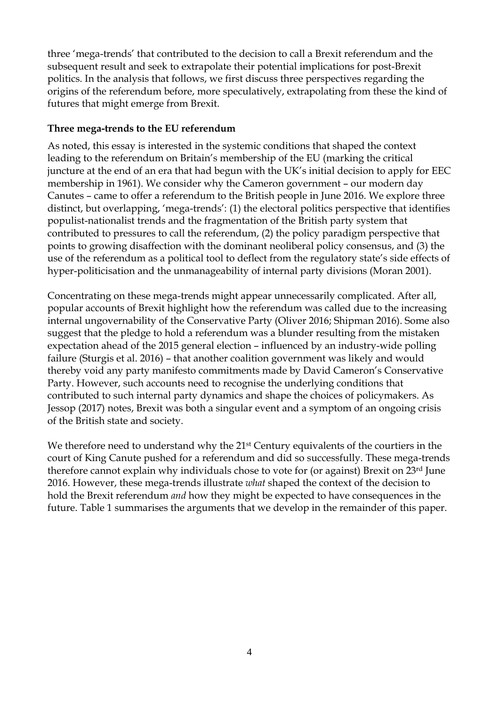three 'mega-trends' that contributed to the decision to call a Brexit referendum and the subsequent result and seek to extrapolate their potential implications for post-Brexit politics. In the analysis that follows, we first discuss three perspectives regarding the origins of the referendum before, more speculatively, extrapolating from these the kind of futures that might emerge from Brexit.

#### **Three mega-trends to the EU referendum**

As noted, this essay is interested in the systemic conditions that shaped the context leading to the referendum on Britain's membership of the EU (marking the critical juncture at the end of an era that had begun with the UK's initial decision to apply for EEC membership in 1961). We consider why the Cameron government – our modern day Canutes – came to offer a referendum to the British people in June 2016. We explore three distinct, but overlapping, 'mega-trends': (1) the electoral politics perspective that identifies populist-nationalist trends and the fragmentation of the British party system that contributed to pressures to call the referendum, (2) the policy paradigm perspective that points to growing disaffection with the dominant neoliberal policy consensus, and (3) the use of the referendum as a political tool to deflect from the regulatory state's side effects of hyper-politicisation and the unmanageability of internal party divisions (Moran 2001).

Concentrating on these mega-trends might appear unnecessarily complicated. After all, popular accounts of Brexit highlight how the referendum was called due to the increasing internal ungovernability of the Conservative Party (Oliver 2016; Shipman 2016). Some also suggest that the pledge to hold a referendum was a blunder resulting from the mistaken expectation ahead of the 2015 general election – influenced by an industry-wide polling failure (Sturgis et al. 2016) – that another coalition government was likely and would thereby void any party manifesto commitments made by David Cameron's Conservative Party. However, such accounts need to recognise the underlying conditions that contributed to such internal party dynamics and shape the choices of policymakers. As Jessop (2017) notes, Brexit was both a singular event and a symptom of an ongoing crisis of the British state and society.

We therefore need to understand why the 21<sup>st</sup> Century equivalents of the courtiers in the court of King Canute pushed for a referendum and did so successfully. These mega-trends therefore cannot explain why individuals chose to vote for (or against) Brexit on 23<sup>rd</sup> June 2016. However, these mega-trends illustrate *what* shaped the context of the decision to hold the Brexit referendum *and* how they might be expected to have consequences in the future. Table 1 summarises the arguments that we develop in the remainder of this paper.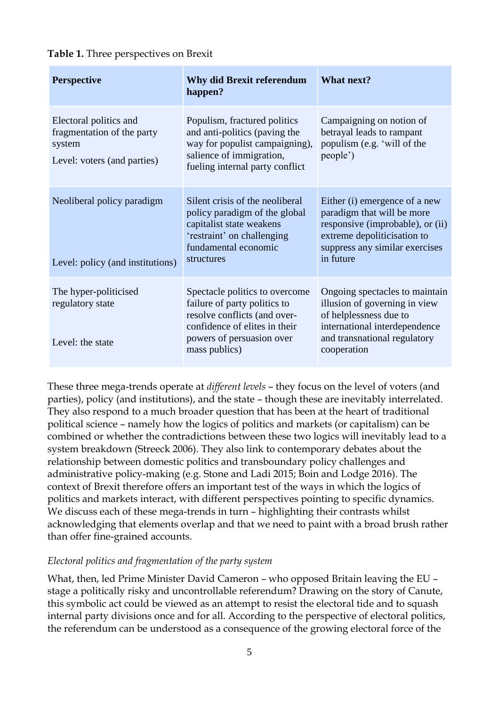#### **Table 1.** Three perspectives on Brexit

| <b>Perspective</b>                                                                            | <b>Why did Brexit referendum</b><br>happen?                                                                                                                                   | <b>What next?</b>                                                                                                                                                             |
|-----------------------------------------------------------------------------------------------|-------------------------------------------------------------------------------------------------------------------------------------------------------------------------------|-------------------------------------------------------------------------------------------------------------------------------------------------------------------------------|
| Electoral politics and<br>fragmentation of the party<br>system<br>Level: voters (and parties) | Populism, fractured politics<br>and anti-politics (paving the<br>way for populist campaigning),<br>salience of immigration,<br>fueling internal party conflict                | Campaigning on notion of<br>betrayal leads to rampant<br>populism (e.g. 'will of the<br>people')                                                                              |
| Neoliberal policy paradigm<br>Level: policy (and institutions)                                | Silent crisis of the neoliberal<br>policy paradigm of the global<br>capitalist state weakens<br>'restraint' on challenging<br>fundamental economic<br>structures              | Either (i) emergence of a new<br>paradigm that will be more<br>responsive (improbable), or (ii)<br>extreme depoliticisation to<br>suppress any similar exercises<br>in future |
| The hyper-politicised<br>regulatory state<br>Level: the state                                 | Spectacle politics to overcome<br>failure of party politics to<br>resolve conflicts (and over-<br>confidence of elites in their<br>powers of persuasion over<br>mass publics) | Ongoing spectacles to maintain<br>illusion of governing in view<br>of helplessness due to<br>international interdependence<br>and transnational regulatory<br>cooperation     |

These three mega-trends operate at *different levels* – they focus on the level of voters (and parties), policy (and institutions), and the state – though these are inevitably interrelated. They also respond to a much broader question that has been at the heart of traditional political science – namely how the logics of politics and markets (or capitalism) can be combined or whether the contradictions between these two logics will inevitably lead to a system breakdown (Streeck 2006). They also link to contemporary debates about the relationship between domestic politics and transboundary policy challenges and administrative policy-making (e.g. Stone and Ladi 2015; Boin and Lodge 2016). The context of Brexit therefore offers an important test of the ways in which the logics of politics and markets interact, with different perspectives pointing to specific dynamics. We discuss each of these mega-trends in turn – highlighting their contrasts whilst acknowledging that elements overlap and that we need to paint with a broad brush rather than offer fine-grained accounts.

#### *Electoral politics and fragmentation of the party system*

What, then, led Prime Minister David Cameron – who opposed Britain leaving the EU – stage a politically risky and uncontrollable referendum? Drawing on the story of Canute, this symbolic act could be viewed as an attempt to resist the electoral tide and to squash internal party divisions once and for all. According to the perspective of electoral politics, the referendum can be understood as a consequence of the growing electoral force of the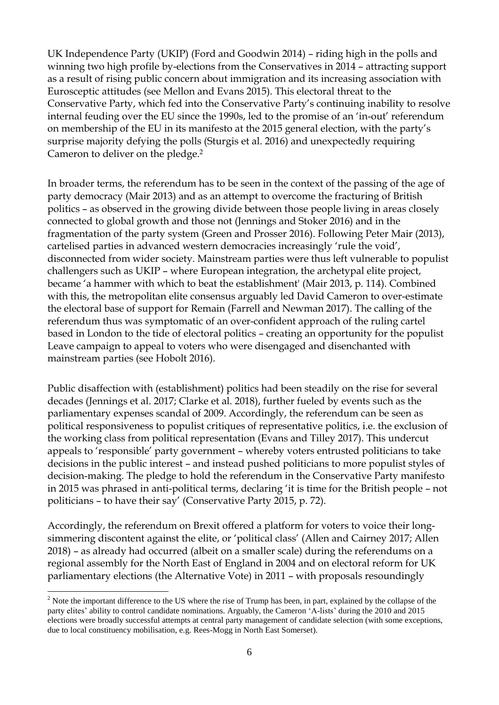UK Independence Party (UKIP) (Ford and Goodwin 2014) – riding high in the polls and winning two high profile by-elections from the Conservatives in 2014 – attracting support as a result of rising public concern about immigration and its increasing association with Eurosceptic attitudes (see Mellon and Evans 2015). This electoral threat to the Conservative Party, which fed into the Conservative Party's continuing inability to resolve internal feuding over the EU since the 1990s, led to the promise of an 'in-out' referendum on membership of the EU in its manifesto at the 2015 general election, with the party's surprise majority defying the polls (Sturgis et al. 2016) and unexpectedly requiring Cameron to deliver on the pledge.<sup>2</sup>

In broader terms, the referendum has to be seen in the context of the passing of the age of party democracy (Mair 2013) and as an attempt to overcome the fracturing of British politics – as observed in the growing divide between those people living in areas closely connected to global growth and those not (Jennings and Stoker 2016) and in the fragmentation of the party system (Green and Prosser 2016). Following Peter Mair (2013), cartelised parties in advanced western democracies increasingly 'rule the void', disconnected from wider society. Mainstream parties were thus left vulnerable to populist challengers such as UKIP – where European integration, the archetypal elite project, became 'a hammer with which to beat the establishment' (Mair 2013, p. 114). Combined with this, the metropolitan elite consensus arguably led David Cameron to over-estimate the electoral base of support for Remain (Farrell and Newman 2017). The calling of the referendum thus was symptomatic of an over-confident approach of the ruling cartel based in London to the tide of electoral politics – creating an opportunity for the populist Leave campaign to appeal to voters who were disengaged and disenchanted with mainstream parties (see Hobolt 2016).

Public disaffection with (establishment) politics had been steadily on the rise for several decades (Jennings et al. 2017; Clarke et al. 2018), further fueled by events such as the parliamentary expenses scandal of 2009. Accordingly, the referendum can be seen as political responsiveness to populist critiques of representative politics, i.e. the exclusion of the working class from political representation (Evans and Tilley 2017). This undercut appeals to 'responsible' party government – whereby voters entrusted politicians to take decisions in the public interest – and instead pushed politicians to more populist styles of decision-making. The pledge to hold the referendum in the Conservative Party manifesto in 2015 was phrased in anti-political terms, declaring 'it is time for the British people – not politicians – to have their say' (Conservative Party 2015, p. 72).

Accordingly, the referendum on Brexit offered a platform for voters to voice their longsimmering discontent against the elite, or 'political class' (Allen and Cairney 2017; Allen 2018) – as already had occurred (albeit on a smaller scale) during the referendums on a regional assembly for the North East of England in 2004 and on electoral reform for UK parliamentary elections (the Alternative Vote) in 2011 – with proposals resoundingly

 $\overline{a}$ 

<sup>&</sup>lt;sup>2</sup> Note the important difference to the US where the rise of Trump has been, in part, explained by the collapse of the party elites' ability to control candidate nominations. Arguably, the Cameron 'A-lists' during the 2010 and 2015 elections were broadly successful attempts at central party management of candidate selection (with some exceptions, due to local constituency mobilisation, e.g. Rees-Mogg in North East Somerset).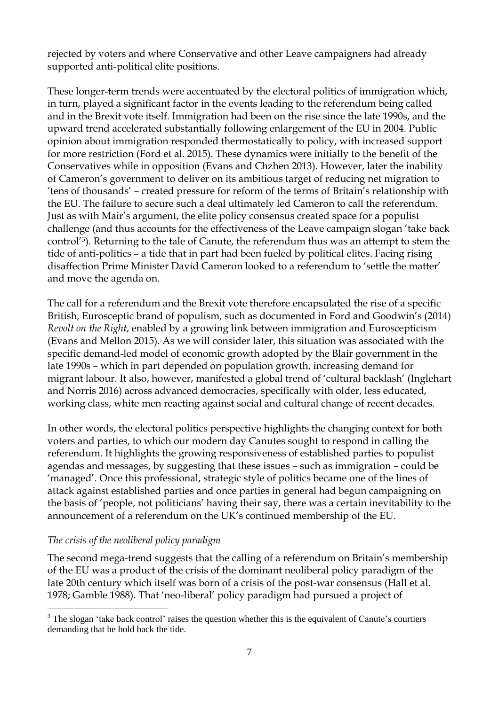rejected by voters and where Conservative and other Leave campaigners had already supported anti-political elite positions.

These longer-term trends were accentuated by the electoral politics of immigration which, in turn, played a significant factor in the events leading to the referendum being called and in the Brexit vote itself. Immigration had been on the rise since the late 1990s, and the upward trend accelerated substantially following enlargement of the EU in 2004. Public opinion about immigration responded thermostatically to policy, with increased support for more restriction (Ford et al. 2015). These dynamics were initially to the benefit of the Conservatives while in opposition (Evans and Chzhen 2013). However, later the inability of Cameron's government to deliver on its ambitious target of reducing net migration to 'tens of thousands' – created pressure for reform of the terms of Britain's relationship with the EU. The failure to secure such a deal ultimately led Cameron to call the referendum. Just as with Mair's argument, the elite policy consensus created space for a populist challenge (and thus accounts for the effectiveness of the Leave campaign slogan 'take back control'3). Returning to the tale of Canute, the referendum thus was an attempt to stem the tide of anti-politics – a tide that in part had been fueled by political elites. Facing rising disaffection Prime Minister David Cameron looked to a referendum to 'settle the matter' and move the agenda on.

The call for a referendum and the Brexit vote therefore encapsulated the rise of a specific British, Eurosceptic brand of populism, such as documented in Ford and Goodwin's (2014) *Revolt on the Right*, enabled by a growing link between immigration and Euroscepticism (Evans and Mellon 2015). As we will consider later, this situation was associated with the specific demand-led model of economic growth adopted by the Blair government in the late 1990s – which in part depended on population growth, increasing demand for migrant labour. It also, however, manifested a global trend of 'cultural backlash' (Inglehart and Norris 2016) across advanced democracies, specifically with older, less educated, working class, white men reacting against social and cultural change of recent decades.

In other words, the electoral politics perspective highlights the changing context for both voters and parties, to which our modern day Canutes sought to respond in calling the referendum. It highlights the growing responsiveness of established parties to populist agendas and messages, by suggesting that these issues – such as immigration – could be 'managed'. Once this professional, strategic style of politics became one of the lines of attack against established parties and once parties in general had begun campaigning on the basis of 'people, not politicians' having their say, there was a certain inevitability to the announcement of a referendum on the UK's continued membership of the EU.

#### *The crisis of the neoliberal policy paradigm*

 $\overline{a}$ 

The second mega-trend suggests that the calling of a referendum on Britain's membership of the EU was a product of the crisis of the dominant neoliberal policy paradigm of the late 20th century which itself was born of a crisis of the post-war consensus (Hall et al. 1978; Gamble 1988). That 'neo-liberal' policy paradigm had pursued a project of

<sup>&</sup>lt;sup>3</sup> The slogan 'take back control' raises the question whether this is the equivalent of Canute's courtiers demanding that he hold back the tide.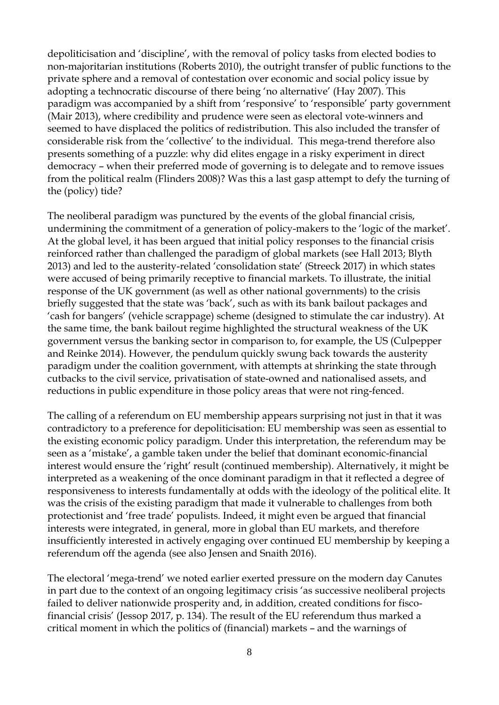depoliticisation and 'discipline', with the removal of policy tasks from elected bodies to non-majoritarian institutions (Roberts 2010), the outright transfer of public functions to the private sphere and a removal of contestation over economic and social policy issue by adopting a technocratic discourse of there being 'no alternative' (Hay 2007). This paradigm was accompanied by a shift from 'responsive' to 'responsible' party government (Mair 2013), where credibility and prudence were seen as electoral vote-winners and seemed to have displaced the politics of redistribution. This also included the transfer of considerable risk from the 'collective' to the individual. This mega-trend therefore also presents something of a puzzle: why did elites engage in a risky experiment in direct democracy – when their preferred mode of governing is to delegate and to remove issues from the political realm (Flinders 2008)? Was this a last gasp attempt to defy the turning of the (policy) tide?

The neoliberal paradigm was punctured by the events of the global financial crisis, undermining the commitment of a generation of policy-makers to the 'logic of the market'. At the global level, it has been argued that initial policy responses to the financial crisis reinforced rather than challenged the paradigm of global markets (see Hall 2013; Blyth 2013) and led to the austerity-related 'consolidation state' (Streeck 2017) in which states were accused of being primarily receptive to financial markets. To illustrate, the initial response of the UK government (as well as other national governments) to the crisis briefly suggested that the state was 'back', such as with its bank bailout packages and 'cash for bangers' (vehicle scrappage) scheme (designed to stimulate the car industry). At the same time, the bank bailout regime highlighted the structural weakness of the UK government versus the banking sector in comparison to, for example, the US (Culpepper and Reinke 2014). However, the pendulum quickly swung back towards the austerity paradigm under the coalition government, with attempts at shrinking the state through cutbacks to the civil service, privatisation of state-owned and nationalised assets, and reductions in public expenditure in those policy areas that were not ring-fenced.

The calling of a referendum on EU membership appears surprising not just in that it was contradictory to a preference for depoliticisation: EU membership was seen as essential to the existing economic policy paradigm. Under this interpretation, the referendum may be seen as a 'mistake', a gamble taken under the belief that dominant economic-financial interest would ensure the 'right' result (continued membership). Alternatively, it might be interpreted as a weakening of the once dominant paradigm in that it reflected a degree of responsiveness to interests fundamentally at odds with the ideology of the political elite. It was the crisis of the existing paradigm that made it vulnerable to challenges from both protectionist and 'free trade' populists. Indeed, it might even be argued that financial interests were integrated, in general, more in global than EU markets, and therefore insufficiently interested in actively engaging over continued EU membership by keeping a referendum off the agenda (see also Jensen and Snaith 2016).

The electoral 'mega-trend' we noted earlier exerted pressure on the modern day Canutes in part due to the context of an ongoing legitimacy crisis 'as successive neoliberal projects failed to deliver nationwide prosperity and, in addition, created conditions for fiscofinancial crisis' (Jessop 2017, p. 134). The result of the EU referendum thus marked a critical moment in which the politics of (financial) markets – and the warnings of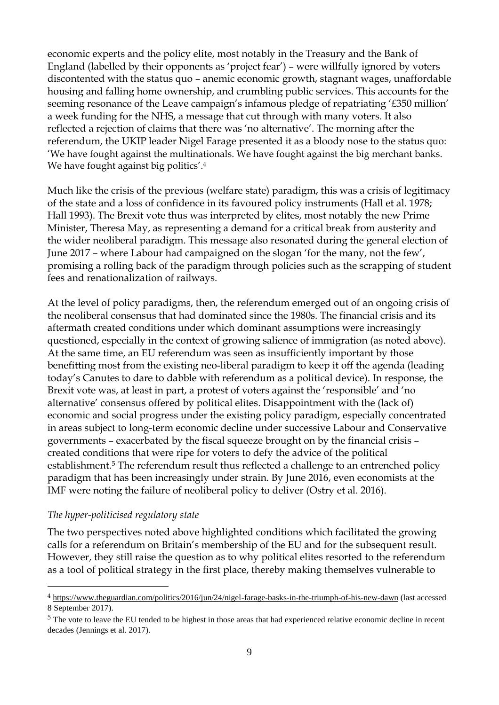economic experts and the policy elite, most notably in the Treasury and the Bank of England (labelled by their opponents as 'project fear') – were willfully ignored by voters discontented with the status quo – anemic economic growth, stagnant wages, unaffordable housing and falling home ownership, and crumbling public services. This accounts for the seeming resonance of the Leave campaign's infamous pledge of repatriating '£350 million' a week funding for the NHS, a message that cut through with many voters. It also reflected a rejection of claims that there was 'no alternative'. The morning after the referendum, the UKIP leader Nigel Farage presented it as a bloody nose to the status quo: 'We have fought against the multinationals. We have fought against the big merchant banks. We have fought against big politics'.<sup>4</sup>

Much like the crisis of the previous (welfare state) paradigm, this was a crisis of legitimacy of the state and a loss of confidence in its favoured policy instruments (Hall et al. 1978; Hall 1993). The Brexit vote thus was interpreted by elites, most notably the new Prime Minister, Theresa May, as representing a demand for a critical break from austerity and the wider neoliberal paradigm. This message also resonated during the general election of June 2017 – where Labour had campaigned on the slogan 'for the many, not the few', promising a rolling back of the paradigm through policies such as the scrapping of student fees and renationalization of railways.

At the level of policy paradigms, then, the referendum emerged out of an ongoing crisis of the neoliberal consensus that had dominated since the 1980s. The financial crisis and its aftermath created conditions under which dominant assumptions were increasingly questioned, especially in the context of growing salience of immigration (as noted above). At the same time, an EU referendum was seen as insufficiently important by those benefitting most from the existing neo-liberal paradigm to keep it off the agenda (leading today's Canutes to dare to dabble with referendum as a political device). In response, the Brexit vote was, at least in part, a protest of voters against the 'responsible' and 'no alternative' consensus offered by political elites. Disappointment with the (lack of) economic and social progress under the existing policy paradigm, especially concentrated in areas subject to long-term economic decline under successive Labour and Conservative governments – exacerbated by the fiscal squeeze brought on by the financial crisis – created conditions that were ripe for voters to defy the advice of the political establishment.<sup>5</sup> The referendum result thus reflected a challenge to an entrenched policy paradigm that has been increasingly under strain. By June 2016, even economists at the IMF were noting the failure of neoliberal policy to deliver (Ostry et al. 2016).

#### *The hyper-politicised regulatory state*

 $\overline{a}$ 

The two perspectives noted above highlighted conditions which facilitated the growing calls for a referendum on Britain's membership of the EU and for the subsequent result. However, they still raise the question as to why political elites resorted to the referendum as a tool of political strategy in the first place, thereby making themselves vulnerable to

<sup>4</sup> <https://www.theguardian.com/politics/2016/jun/24/nigel-farage-basks-in-the-triumph-of-his-new-dawn> (last accessed 8 September 2017).

<sup>&</sup>lt;sup>5</sup> The vote to leave the EU tended to be highest in those areas that had experienced relative economic decline in recent decades (Jennings et al. 2017).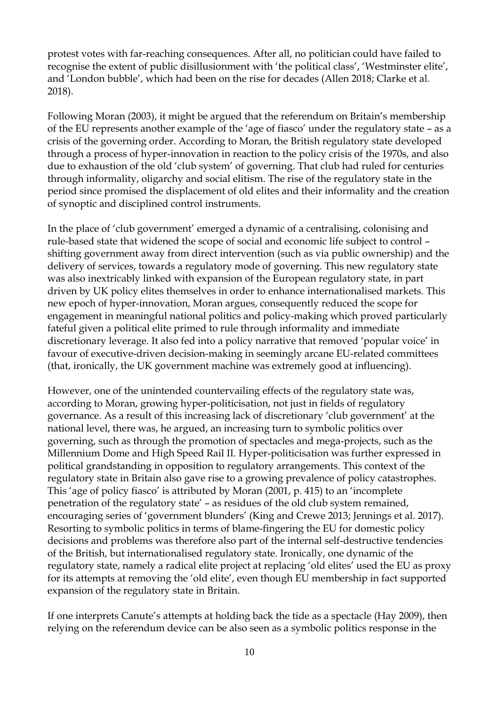protest votes with far-reaching consequences. After all, no politician could have failed to recognise the extent of public disillusionment with 'the political class', 'Westminster elite', and 'London bubble', which had been on the rise for decades (Allen 2018; Clarke et al. 2018).

Following Moran (2003), it might be argued that the referendum on Britain's membership of the EU represents another example of the 'age of fiasco' under the regulatory state – as a crisis of the governing order. According to Moran, the British regulatory state developed through a process of hyper-innovation in reaction to the policy crisis of the 1970s, and also due to exhaustion of the old 'club system' of governing. That club had ruled for centuries through informality, oligarchy and social elitism. The rise of the regulatory state in the period since promised the displacement of old elites and their informality and the creation of synoptic and disciplined control instruments.

In the place of 'club government' emerged a dynamic of a centralising, colonising and rule-based state that widened the scope of social and economic life subject to control – shifting government away from direct intervention (such as via public ownership) and the delivery of services, towards a regulatory mode of governing. This new regulatory state was also inextricably linked with expansion of the European regulatory state, in part driven by UK policy elites themselves in order to enhance internationalised markets. This new epoch of hyper-innovation, Moran argues, consequently reduced the scope for engagement in meaningful national politics and policy-making which proved particularly fateful given a political elite primed to rule through informality and immediate discretionary leverage. It also fed into a policy narrative that removed 'popular voice' in favour of executive-driven decision-making in seemingly arcane EU-related committees (that, ironically, the UK government machine was extremely good at influencing).

However, one of the unintended countervailing effects of the regulatory state was, according to Moran, growing hyper-politicisation, not just in fields of regulatory governance. As a result of this increasing lack of discretionary 'club government' at the national level, there was, he argued, an increasing turn to symbolic politics over governing, such as through the promotion of spectacles and mega-projects, such as the Millennium Dome and High Speed Rail II. Hyper-politicisation was further expressed in political grandstanding in opposition to regulatory arrangements. This context of the regulatory state in Britain also gave rise to a growing prevalence of policy catastrophes. This 'age of policy fiasco' is attributed by Moran (2001, p. 415) to an 'incomplete penetration of the regulatory state' – as residues of the old club system remained, encouraging series of 'government blunders' (King and Crewe 2013; Jennings et al. 2017). Resorting to symbolic politics in terms of blame-fingering the EU for domestic policy decisions and problems was therefore also part of the internal self-destructive tendencies of the British, but internationalised regulatory state. Ironically, one dynamic of the regulatory state, namely a radical elite project at replacing 'old elites' used the EU as proxy for its attempts at removing the 'old elite', even though EU membership in fact supported expansion of the regulatory state in Britain.

If one interprets Canute's attempts at holding back the tide as a spectacle (Hay 2009), then relying on the referendum device can be also seen as a symbolic politics response in the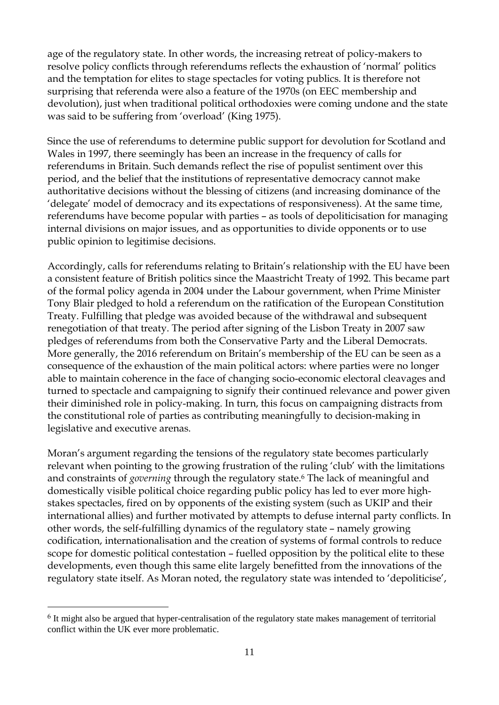age of the regulatory state. In other words, the increasing retreat of policy-makers to resolve policy conflicts through referendums reflects the exhaustion of 'normal' politics and the temptation for elites to stage spectacles for voting publics. It is therefore not surprising that referenda were also a feature of the 1970s (on EEC membership and devolution), just when traditional political orthodoxies were coming undone and the state was said to be suffering from 'overload' (King 1975).

Since the use of referendums to determine public support for devolution for Scotland and Wales in 1997, there seemingly has been an increase in the frequency of calls for referendums in Britain. Such demands reflect the rise of populist sentiment over this period, and the belief that the institutions of representative democracy cannot make authoritative decisions without the blessing of citizens (and increasing dominance of the 'delegate' model of democracy and its expectations of responsiveness). At the same time, referendums have become popular with parties – as tools of depoliticisation for managing internal divisions on major issues, and as opportunities to divide opponents or to use public opinion to legitimise decisions.

Accordingly, calls for referendums relating to Britain's relationship with the EU have been a consistent feature of British politics since the Maastricht Treaty of 1992. This became part of the formal policy agenda in 2004 under the Labour government, when Prime Minister Tony Blair pledged to hold a referendum on the ratification of the European Constitution Treaty. Fulfilling that pledge was avoided because of the withdrawal and subsequent renegotiation of that treaty. The period after signing of the Lisbon Treaty in 2007 saw pledges of referendums from both the Conservative Party and the Liberal Democrats. More generally, the 2016 referendum on Britain's membership of the EU can be seen as a consequence of the exhaustion of the main political actors: where parties were no longer able to maintain coherence in the face of changing socio-economic electoral cleavages and turned to spectacle and campaigning to signify their continued relevance and power given their diminished role in policy-making. In turn, this focus on campaigning distracts from the constitutional role of parties as contributing meaningfully to decision-making in legislative and executive arenas.

Moran's argument regarding the tensions of the regulatory state becomes particularly relevant when pointing to the growing frustration of the ruling 'club' with the limitations and constraints of *governing* through the regulatory state.<sup>6</sup> The lack of meaningful and domestically visible political choice regarding public policy has led to ever more highstakes spectacles, fired on by opponents of the existing system (such as UKIP and their international allies) and further motivated by attempts to defuse internal party conflicts. In other words, the self-fulfilling dynamics of the regulatory state – namely growing codification, internationalisation and the creation of systems of formal controls to reduce scope for domestic political contestation – fuelled opposition by the political elite to these developments, even though this same elite largely benefitted from the innovations of the regulatory state itself. As Moran noted, the regulatory state was intended to 'depoliticise',

 $\overline{a}$ 

<sup>6</sup> It might also be argued that hyper-centralisation of the regulatory state makes management of territorial conflict within the UK ever more problematic.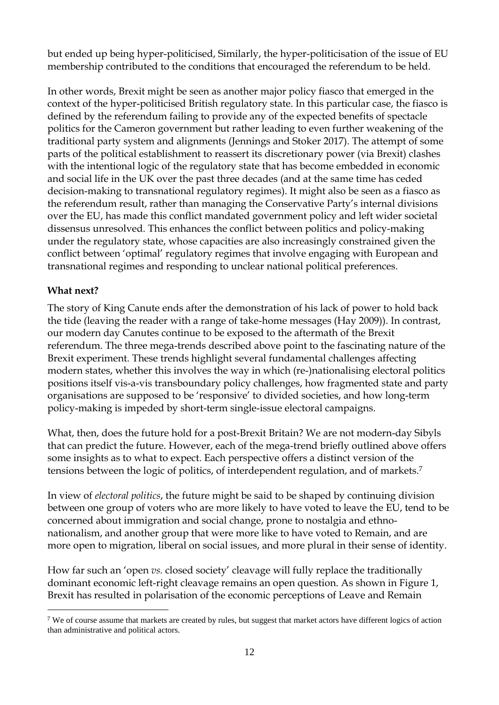but ended up being hyper-politicised, Similarly, the hyper-politicisation of the issue of EU membership contributed to the conditions that encouraged the referendum to be held.

In other words, Brexit might be seen as another major policy fiasco that emerged in the context of the hyper-politicised British regulatory state. In this particular case, the fiasco is defined by the referendum failing to provide any of the expected benefits of spectacle politics for the Cameron government but rather leading to even further weakening of the traditional party system and alignments (Jennings and Stoker 2017). The attempt of some parts of the political establishment to reassert its discretionary power (via Brexit) clashes with the intentional logic of the regulatory state that has become embedded in economic and social life in the UK over the past three decades (and at the same time has ceded decision-making to transnational regulatory regimes). It might also be seen as a fiasco as the referendum result, rather than managing the Conservative Party's internal divisions over the EU, has made this conflict mandated government policy and left wider societal dissensus unresolved. This enhances the conflict between politics and policy-making under the regulatory state, whose capacities are also increasingly constrained given the conflict between 'optimal' regulatory regimes that involve engaging with European and transnational regimes and responding to unclear national political preferences.

#### **What next?**

 $\overline{a}$ 

The story of King Canute ends after the demonstration of his lack of power to hold back the tide (leaving the reader with a range of take-home messages (Hay 2009)). In contrast, our modern day Canutes continue to be exposed to the aftermath of the Brexit referendum. The three mega-trends described above point to the fascinating nature of the Brexit experiment. These trends highlight several fundamental challenges affecting modern states, whether this involves the way in which (re-)nationalising electoral politics positions itself vis-a-vis transboundary policy challenges, how fragmented state and party organisations are supposed to be 'responsive' to divided societies, and how long-term policy-making is impeded by short-term single-issue electoral campaigns.

What, then, does the future hold for a post-Brexit Britain? We are not modern-day Sibyls that can predict the future. However, each of the mega-trend briefly outlined above offers some insights as to what to expect. Each perspective offers a distinct version of the tensions between the logic of politics, of interdependent regulation, and of markets.<sup>7</sup>

In view of *electoral politics*, the future might be said to be shaped by continuing division between one group of voters who are more likely to have voted to leave the EU, tend to be concerned about immigration and social change, prone to nostalgia and ethnonationalism, and another group that were more like to have voted to Remain, and are more open to migration, liberal on social issues, and more plural in their sense of identity.

How far such an 'open *vs.* closed society' cleavage will fully replace the traditionally dominant economic left-right cleavage remains an open question. As shown in Figure 1, Brexit has resulted in polarisation of the economic perceptions of Leave and Remain

<sup>7</sup> We of course assume that markets are created by rules, but suggest that market actors have different logics of action than administrative and political actors.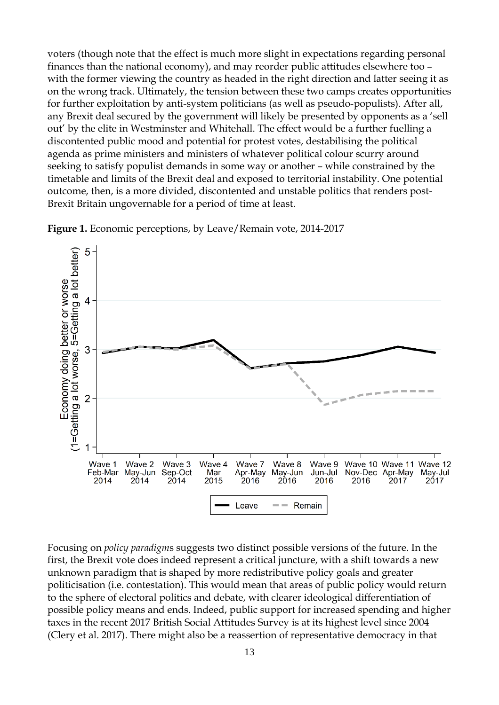voters (though note that the effect is much more slight in expectations regarding personal finances than the national economy), and may reorder public attitudes elsewhere too – with the former viewing the country as headed in the right direction and latter seeing it as on the wrong track. Ultimately, the tension between these two camps creates opportunities for further exploitation by anti-system politicians (as well as pseudo-populists). After all, any Brexit deal secured by the government will likely be presented by opponents as a 'sell out' by the elite in Westminster and Whitehall. The effect would be a further fuelling a discontented public mood and potential for protest votes, destabilising the political agenda as prime ministers and ministers of whatever political colour scurry around seeking to satisfy populist demands in some way or another – while constrained by the timetable and limits of the Brexit deal and exposed to territorial instability. One potential outcome, then, is a more divided, discontented and unstable politics that renders post-Brexit Britain ungovernable for a period of time at least.



**Figure 1.** Economic perceptions, by Leave/Remain vote, 2014-2017

Focusing on *policy paradigm*s suggests two distinct possible versions of the future. In the first, the Brexit vote does indeed represent a critical juncture, with a shift towards a new unknown paradigm that is shaped by more redistributive policy goals and greater politicisation (i.e. contestation). This would mean that areas of public policy would return to the sphere of electoral politics and debate, with clearer ideological differentiation of possible policy means and ends. Indeed, public support for increased spending and higher taxes in the recent 2017 British Social Attitudes Survey is at its highest level since 2004 (Clery et al. 2017). There might also be a reassertion of representative democracy in that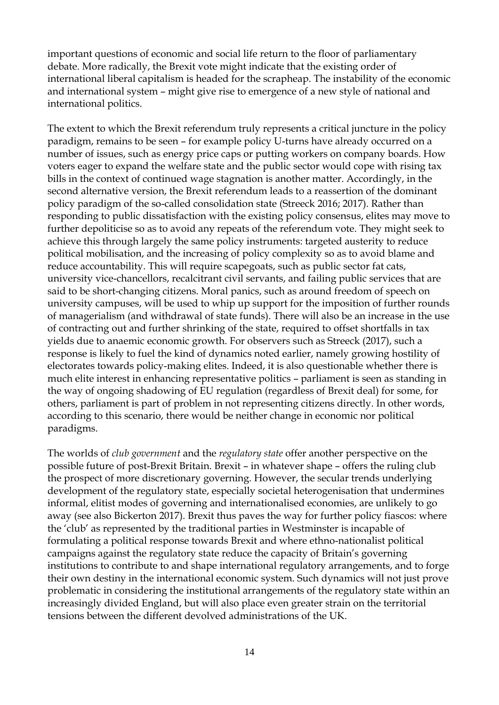important questions of economic and social life return to the floor of parliamentary debate. More radically, the Brexit vote might indicate that the existing order of international liberal capitalism is headed for the scrapheap. The instability of the economic and international system – might give rise to emergence of a new style of national and international politics.

The extent to which the Brexit referendum truly represents a critical juncture in the policy paradigm, remains to be seen – for example policy U-turns have already occurred on a number of issues, such as energy price caps or putting workers on company boards. How voters eager to expand the welfare state and the public sector would cope with rising tax bills in the context of continued wage stagnation is another matter. Accordingly, in the second alternative version, the Brexit referendum leads to a reassertion of the dominant policy paradigm of the so-called consolidation state (Streeck 2016; 2017). Rather than responding to public dissatisfaction with the existing policy consensus, elites may move to further depoliticise so as to avoid any repeats of the referendum vote. They might seek to achieve this through largely the same policy instruments: targeted austerity to reduce political mobilisation, and the increasing of policy complexity so as to avoid blame and reduce accountability. This will require scapegoats, such as public sector fat cats, university vice-chancellors, recalcitrant civil servants, and failing public services that are said to be short-changing citizens. Moral panics, such as around freedom of speech on university campuses, will be used to whip up support for the imposition of further rounds of managerialism (and withdrawal of state funds). There will also be an increase in the use of contracting out and further shrinking of the state, required to offset shortfalls in tax yields due to anaemic economic growth. For observers such as Streeck (2017), such a response is likely to fuel the kind of dynamics noted earlier, namely growing hostility of electorates towards policy-making elites. Indeed, it is also questionable whether there is much elite interest in enhancing representative politics – parliament is seen as standing in the way of ongoing shadowing of EU regulation (regardless of Brexit deal) for some, for others, parliament is part of problem in not representing citizens directly. In other words, according to this scenario, there would be neither change in economic nor political paradigms.

The worlds of *club government* and the *regulatory state* offer another perspective on the possible future of post-Brexit Britain. Brexit – in whatever shape – offers the ruling club the prospect of more discretionary governing. However, the secular trends underlying development of the regulatory state, especially societal heterogenisation that undermines informal, elitist modes of governing and internationalised economies, are unlikely to go away (see also Bickerton 2017). Brexit thus paves the way for further policy fiascos: where the 'club' as represented by the traditional parties in Westminster is incapable of formulating a political response towards Brexit and where ethno-nationalist political campaigns against the regulatory state reduce the capacity of Britain's governing institutions to contribute to and shape international regulatory arrangements, and to forge their own destiny in the international economic system. Such dynamics will not just prove problematic in considering the institutional arrangements of the regulatory state within an increasingly divided England, but will also place even greater strain on the territorial tensions between the different devolved administrations of the UK.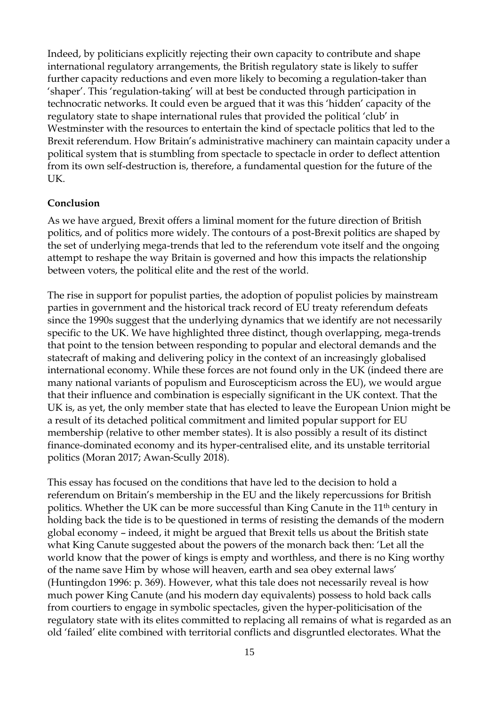Indeed, by politicians explicitly rejecting their own capacity to contribute and shape international regulatory arrangements, the British regulatory state is likely to suffer further capacity reductions and even more likely to becoming a regulation-taker than 'shaper'. This 'regulation-taking' will at best be conducted through participation in technocratic networks. It could even be argued that it was this 'hidden' capacity of the regulatory state to shape international rules that provided the political 'club' in Westminster with the resources to entertain the kind of spectacle politics that led to the Brexit referendum. How Britain's administrative machinery can maintain capacity under a political system that is stumbling from spectacle to spectacle in order to deflect attention from its own self-destruction is, therefore, a fundamental question for the future of the UK.

#### **Conclusion**

As we have argued, Brexit offers a liminal moment for the future direction of British politics, and of politics more widely. The contours of a post-Brexit politics are shaped by the set of underlying mega-trends that led to the referendum vote itself and the ongoing attempt to reshape the way Britain is governed and how this impacts the relationship between voters, the political elite and the rest of the world.

The rise in support for populist parties, the adoption of populist policies by mainstream parties in government and the historical track record of EU treaty referendum defeats since the 1990s suggest that the underlying dynamics that we identify are not necessarily specific to the UK. We have highlighted three distinct, though overlapping, mega-trends that point to the tension between responding to popular and electoral demands and the statecraft of making and delivering policy in the context of an increasingly globalised international economy. While these forces are not found only in the UK (indeed there are many national variants of populism and Euroscepticism across the EU), we would argue that their influence and combination is especially significant in the UK context. That the UK is, as yet, the only member state that has elected to leave the European Union might be a result of its detached political commitment and limited popular support for EU membership (relative to other member states). It is also possibly a result of its distinct finance-dominated economy and its hyper-centralised elite, and its unstable territorial politics (Moran 2017; Awan-Scully 2018).

This essay has focused on the conditions that have led to the decision to hold a referendum on Britain's membership in the EU and the likely repercussions for British politics. Whether the UK can be more successful than King Canute in the 11<sup>th</sup> century in holding back the tide is to be questioned in terms of resisting the demands of the modern global economy – indeed, it might be argued that Brexit tells us about the British state what King Canute suggested about the powers of the monarch back then: 'Let all the world know that the power of kings is empty and worthless, and there is no King worthy of the name save Him by whose will heaven, earth and sea obey external laws' (Huntingdon 1996: p. 369). However, what this tale does not necessarily reveal is how much power King Canute (and his modern day equivalents) possess to hold back calls from courtiers to engage in symbolic spectacles, given the hyper-politicisation of the regulatory state with its elites committed to replacing all remains of what is regarded as an old 'failed' elite combined with territorial conflicts and disgruntled electorates. What the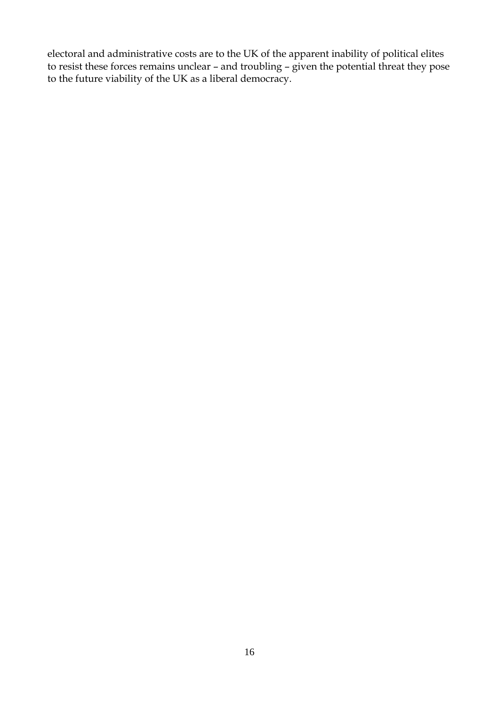electoral and administrative costs are to the UK of the apparent inability of political elites to resist these forces remains unclear – and troubling – given the potential threat they pose to the future viability of the UK as a liberal democracy.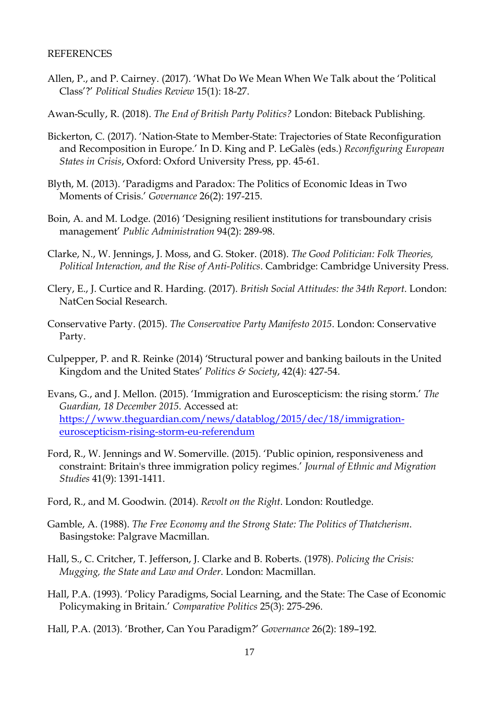#### REFERENCES

Allen, P., and P. Cairney. (2017). 'What Do We Mean When We Talk about the 'Political Class'?' *Political Studies Review* 15(1): 18-27.

Awan-Scully, R. (2018). *The End of British Party Politics?* London: Biteback Publishing.

- Bickerton, C. (2017). 'Nation-State to Member-State: Trajectories of State Reconfiguration and Recomposition in Europe.' In D. King and P. LeGalès (eds.) *Reconfiguring European States in Crisis*, Oxford: Oxford University Press, pp. 45-61.
- Blyth, M. (2013). 'Paradigms and Paradox: The Politics of Economic Ideas in Two Moments of Crisis.' *Governance* 26(2): 197-215.
- Boin, A. and M. Lodge. (2016) 'Designing resilient institutions for transboundary crisis management' *Public Administration* 94(2): 289-98.
- Clarke, N., W. Jennings, J. Moss, and G. Stoker. (2018). *The Good Politician: Folk Theories, Political Interaction, and the Rise of Anti-Politics*. Cambridge: Cambridge University Press.
- Clery, E., J. Curtice and R. Harding. (2017). *British Social Attitudes: the 34th Report*. London: NatCen Social Research.
- Conservative Party. (2015). *The Conservative Party Manifesto 2015*. London: Conservative Party.
- Culpepper, P. and R. Reinke (2014) 'Structural power and banking bailouts in the United Kingdom and the United States' *Politics & Society*, 42(4): 427-54.
- Evans, G., and J. Mellon. (2015). 'Immigration and Euroscepticism: the rising storm.' *The Guardian, 18 December 2015*. Accessed at: [https://www.theguardian.com/news/datablog/2015/dec/18/immigration](https://www.theguardian.com/news/datablog/2015/dec/18/immigration-euroscepticism-rising-storm-eu-referendum)[euroscepticism-rising-storm-eu-referendum](https://www.theguardian.com/news/datablog/2015/dec/18/immigration-euroscepticism-rising-storm-eu-referendum)
- Ford, R., W. Jennings and W. Somerville. (2015). 'Public opinion, responsiveness and constraint: Britain's three immigration policy regimes.' *Journal of Ethnic and Migration Studies* 41(9): 1391-1411.
- Ford, R., and M. Goodwin. (2014). *Revolt on the Right*. London: Routledge.
- Gamble, A. (1988). *The Free Economy and the Strong State: The Politics of Thatcherism*. Basingstoke: Palgrave Macmillan.
- Hall, S., C. Critcher, T. Jefferson, J. Clarke and B. Roberts. (1978). *Policing the Crisis: Mugging, the State and Law and Order*. London: Macmillan.
- Hall, P.A. (1993). 'Policy Paradigms, Social Learning, and the State: The Case of Economic Policymaking in Britain.' *Comparative Politics* 25(3): 275-296.
- Hall, P.A. (2013). 'Brother, Can You Paradigm?' *Governance* 26(2): 189–192.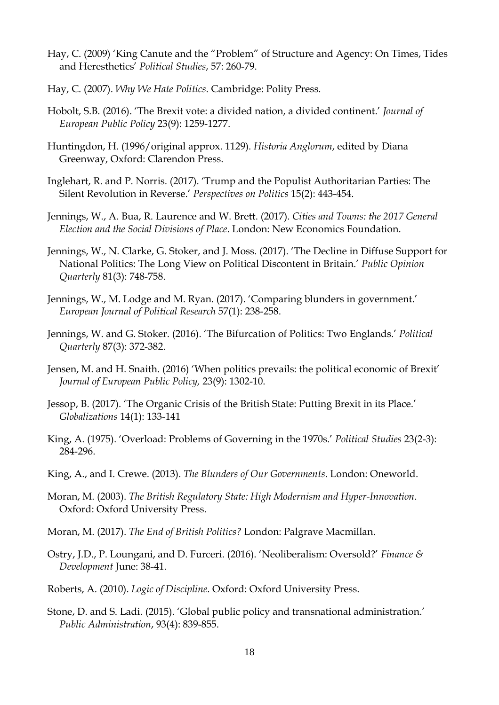- Hay, C. (2009) 'King Canute and the "Problem" of Structure and Agency: On Times, Tides and Heresthetics' *Political Studies*, 57: 260-79.
- Hay, C. (2007). *Why We Hate Politics*. Cambridge: Polity Press.
- Hobolt, S.B. (2016). 'The Brexit vote: a divided nation, a divided continent.' *Journal of European Public Policy* 23(9): 1259-1277.
- Huntingdon, H. (1996/original approx. 1129). *Historia Anglorum*, edited by Diana Greenway, Oxford: Clarendon Press.
- Inglehart, R. and P. Norris. (2017). 'Trump and the Populist Authoritarian Parties: The Silent Revolution in Reverse.' *Perspectives on Politics* 15(2): 443-454.
- Jennings, W., A. Bua, R. Laurence and W. Brett. (2017). *Cities and Towns: the 2017 General Election and the Social Divisions of Place*. London: New Economics Foundation.
- Jennings, W., N. Clarke, G. Stoker, and J. Moss. (2017). 'The Decline in Diffuse Support for National Politics: The Long View on Political Discontent in Britain.' *Public Opinion Quarterly* 81(3): 748-758.
- Jennings, W., M. Lodge and M. Ryan. (2017). 'Comparing blunders in government.' *European Journal of Political Research* 57(1): 238-258.
- Jennings, W. and G. Stoker. (2016). 'The Bifurcation of Politics: Two Englands.' *Political Quarterly* 87(3): 372-382.
- Jensen, M. and H. Snaith. (2016) 'When politics prevails: the political economic of Brexit' *Journal of European Public Policy,* 23(9): 1302-10.
- Jessop, B. (2017). 'The Organic Crisis of the British State: Putting Brexit in its Place.' *Globalizations* 14(1): 133-141
- King, A. (1975). 'Overload: Problems of Governing in the 1970s.' *Political Studies* 23(2-3): 284-296.
- King, A., and I. Crewe. (2013). *The Blunders of Our Governments*. London: Oneworld.
- Moran, M. (2003). *The British Regulatory State: High Modernism and Hyper-Innovation*. Oxford: Oxford University Press.
- Moran, M. (2017). *The End of British Politics?* London: Palgrave Macmillan.
- Ostry, J.D., P. Loungani, and D. Furceri. (2016). 'Neoliberalism: Oversold?' *Finance & Development* June: 38-41.
- Roberts, A. (2010). *Logic of Discipline*. Oxford: Oxford University Press.
- Stone, D. and S. Ladi. (2015). 'Global public policy and transnational administration.' *Public Administration*, 93(4): 839-855.